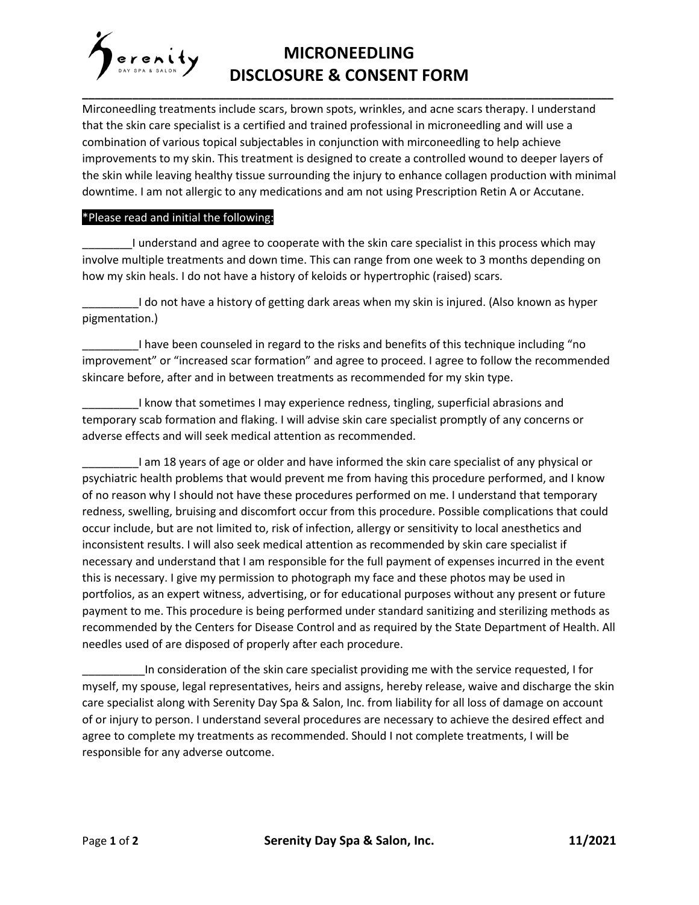## **MICRONEEDLING** DISCLOSURE & CONSENT FORM

Mirconeedling treatments include scars, brown spots, wrinkles, and acne scars therapy. I understand that the skin care specialist is a certified and trained professional in microneedling and will use a combination of various topical subjectables in conjunction with mirconeedling to help achieve improvements to my skin. This treatment is designed to create a controlled wound to deeper layers of the skin while leaving healthy tissue surrounding the injury to enhance collagen production with minimal downtime. I am not allergic to any medications and am not using Prescription Retin A or Accutane.

## \*Please read and initial the following:

\_\_\_\_\_\_\_\_I understand and agree to cooperate with the skin care specialist in this process which may involve multiple treatments and down time. This can range from one week to 3 months depending on how my skin heals. I do not have a history of keloids or hypertrophic (raised) scars.

\_\_\_\_\_\_\_\_\_I do not have a history of getting dark areas when my skin is injured. (Also known as hyper pigmentation.)

I have been counseled in regard to the risks and benefits of this technique including "no improvement" or "increased scar formation" and agree to proceed. I agree to follow the recommended skincare before, after and in between treatments as recommended for my skin type.

I know that sometimes I may experience redness, tingling, superficial abrasions and temporary scab formation and flaking. I will advise skin care specialist promptly of any concerns or adverse effects and will seek medical attention as recommended.

\_\_\_\_\_\_\_\_\_I am 18 years of age or older and have informed the skin care specialist of any physical or psychiatric health problems that would prevent me from having this procedure performed, and I know of no reason why I should not have these procedures performed on me. I understand that temporary redness, swelling, bruising and discomfort occur from this procedure. Possible complications that could occur include, but are not limited to, risk of infection, allergy or sensitivity to local anesthetics and inconsistent results. I will also seek medical attention as recommended by skin care specialist if necessary and understand that I am responsible for the full payment of expenses incurred in the event this is necessary. I give my permission to photograph my face and these photos may be used in portfolios, as an expert witness, advertising, or for educational purposes without any present or future payment to me. This procedure is being performed under standard sanitizing and sterilizing methods as recommended by the Centers for Disease Control and as required by the State Department of Health. All needles used of are disposed of properly after each procedure.

\_\_\_\_\_\_\_\_\_\_In consideration of the skin care specialist providing me with the service requested, I for myself, my spouse, legal representatives, heirs and assigns, hereby release, waive and discharge the skin care specialist along with Serenity Day Spa & Salon, Inc. from liability for all loss of damage on account of or injury to person. I understand several procedures are necessary to achieve the desired effect and agree to complete my treatments as recommended. Should I not complete treatments, I will be responsible for any adverse outcome.